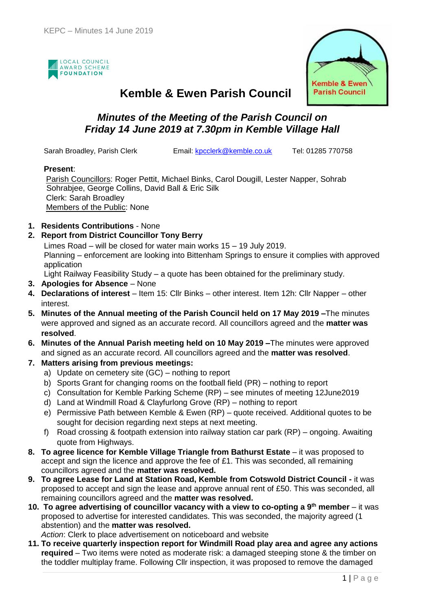



### **Kemble & Ewen Parish Council**

### *Minutes of the Meeting of the Parish Council on Friday 14 June 2019 at 7.30pm in Kemble Village Hall*

Sarah Broadley, Parish Clerk Email: [kpcclerk@kemble.co.uk](mailto:kpcclerk@kemble.co.uk) Tel: 01285 770758

#### **Present**:

Parish Councillors: Roger Pettit, Michael Binks, Carol Dougill, Lester Napper, Sohrab Sohrabjee, George Collins, David Ball & Eric Silk Clerk: Sarah Broadley Members of the Public: None

**1. Residents Contributions** - None

#### **2. Report from District Councillor Tony Berry**

Limes Road – will be closed for water main works 15 – 19 July 2019.

Planning – enforcement are looking into Bittenham Springs to ensure it complies with approved application

Light Railway Feasibility Study – a quote has been obtained for the preliminary study.

- **3. Apologies for Absence**  None
- **4. Declarations of interest** Item 15: Cllr Binks other interest. Item 12h: Cllr Napper other interest.
- **5. Minutes of the Annual meeting of the Parish Council held on 17 May 2019 –**The minutes were approved and signed as an accurate record. All councillors agreed and the **matter was resolved**.
- **6. Minutes of the Annual Parish meeting held on 10 May 2019 –**The minutes were approved and signed as an accurate record. All councillors agreed and the **matter was resolved**.

#### **7. Matters arising from previous meetings:**

- a) Update on cemetery site (GC) nothing to report
- b) Sports Grant for changing rooms on the football field (PR) nothing to report
- c) Consultation for Kemble Parking Scheme (RP) see minutes of meeting 12June2019
- d) Land at Windmill Road & Clayfurlong Grove (RP) nothing to report
- e) Permissive Path between Kemble & Ewen (RP) quote received. Additional quotes to be sought for decision regarding next steps at next meeting.
- f) Road crossing & footpath extension into railway station car park (RP) ongoing. Awaiting quote from Highways.
- **8. To agree licence for Kemble Village Triangle from Bathurst Estate** it was proposed to accept and sign the licence and approve the fee of £1. This was seconded, all remaining councillors agreed and the **matter was resolved.**
- **9. To agree Lease for Land at Station Road, Kemble from Cotswold District Council -** it was proposed to accept and sign the lease and approve annual rent of £50. This was seconded, all remaining councillors agreed and the **matter was resolved.**
- **10. To agree advertising of councillor vacancy with a view to co-opting a 9th member**  it was proposed to advertise for interested candidates. This was seconded, the majority agreed (1 abstention) and the **matter was resolved.**

*Action*: Clerk to place advertisement on noticeboard and website

**11. To receive quarterly inspection report for Windmill Road play area and agree any actions required** – Two items were noted as moderate risk: a damaged steeping stone & the timber on the toddler multiplay frame. Following Cllr inspection, it was proposed to remove the damaged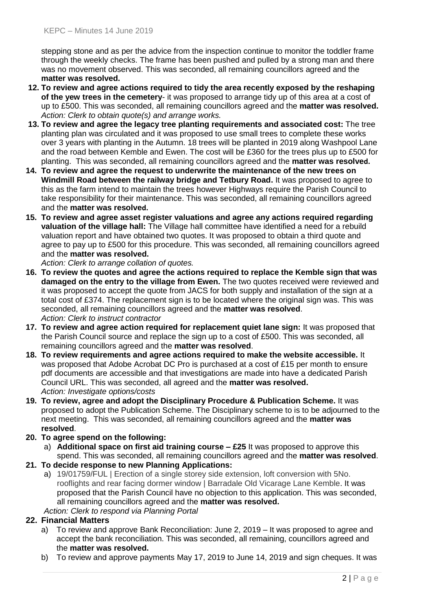stepping stone and as per the advice from the inspection continue to monitor the toddler frame through the weekly checks. The frame has been pushed and pulled by a strong man and there was no movement observed. This was seconded, all remaining councillors agreed and the **matter was resolved.**

- **12. To review and agree actions required to tidy the area recently exposed by the reshaping of the yew trees in the cemetery**- it was proposed to arrange tidy up of this area at a cost of up to £500. This was seconded, all remaining councillors agreed and the **matter was resolved.** *Action: Clerk to obtain quote(s) and arrange works.*
- **13. To review and agree the legacy tree planting requirements and associated cost:** The tree planting plan was circulated and it was proposed to use small trees to complete these works over 3 years with planting in the Autumn. 18 trees will be planted in 2019 along Washpool Lane and the road between Kemble and Ewen. The cost will be £360 for the trees plus up to £500 for planting. This was seconded, all remaining councillors agreed and the **matter was resolved.**
- **14. To review and agree the request to underwrite the maintenance of the new trees on Windmill Road between the railway bridge and Tetbury Road.** It was proposed to agree to this as the farm intend to maintain the trees however Highways require the Parish Council to take responsibility for their maintenance. This was seconded, all remaining councillors agreed and the **matter was resolved.**
- **15. To review and agree asset register valuations and agree any actions required regarding valuation of the village hall:** The Village hall committee have identified a need for a rebuild valuation report and have obtained two quotes. It was proposed to obtain a third quote and agree to pay up to £500 for this procedure. This was seconded, all remaining councillors agreed and the **matter was resolved.**

*Action: Clerk to arrange collation of quotes.*

- **16. To review the quotes and agree the actions required to replace the Kemble sign that was damaged on the entry to the village from Ewen.** The two quotes received were reviewed and it was proposed to accept the quote from JACS for both supply and installation of the sign at a total cost of £374. The replacement sign is to be located where the original sign was. This was seconded, all remaining councillors agreed and the **matter was resolved**. *Action: Clerk to instruct contractor*
- **17. To review and agree action required for replacement quiet lane sign:** It was proposed that the Parish Council source and replace the sign up to a cost of £500. This was seconded, all remaining councillors agreed and the **matter was resolved**.
- **18. To review requirements and agree actions required to make the website accessible.** It was proposed that Adobe Acrobat DC Pro is purchased at a cost of £15 per month to ensure pdf documents are accessible and that investigations are made into have a dedicated Parish Council URL. This was seconded, all agreed and the **matter was resolved.** *Action: Investigate options/costs*
- **19. To review, agree and adopt the Disciplinary Procedure & Publication Scheme.** It was proposed to adopt the Publication Scheme. The Disciplinary scheme to is to be adjourned to the next meeting. This was seconded, all remaining councillors agreed and the **matter was resolved**.
- **20. To agree spend on the following:**
	- a) **Additional space on first aid training course – £25** It was proposed to approve this spend. This was seconded, all remaining councillors agreed and the **matter was resolved**.
- **21. To decide response to new Planning Applications:**
	- a) 19/01759/FUL | Erection of a single storey side extension, loft conversion with 5No. rooflights and rear facing dormer window | Barradale Old Vicarage Lane Kemble. It was proposed that the Parish Council have no objection to this application. This was seconded, all remaining councillors agreed and the **matter was resolved.**
	- *Action: Clerk to respond via Planning Portal*

#### **22. Financial Matters**

- a) To review and approve Bank Reconciliation: June 2, 2019 It was proposed to agree and accept the bank reconciliation. This was seconded, all remaining, councillors agreed and the **matter was resolved.**
- b) To review and approve payments May 17, 2019 to June 14, 2019 and sign cheques. It was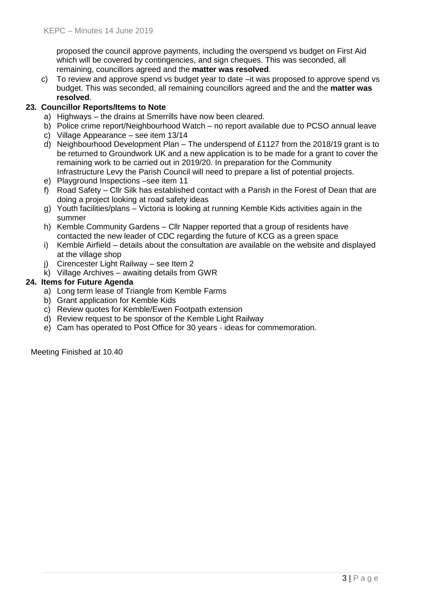proposed the council approve payments, including the overspend vs budget on First Aid which will be covered by contingencies, and sign cheques. This was seconded, all remaining, councillors agreed and the **matter was resolved**.

c) To review and approve spend vs budget year to date –it was proposed to approve spend vs budget. This was seconded, all remaining councillors agreed and the and the **matter was resolved**.

#### **23. Councillor Reports/Items to Note**

- a) Highways the drains at Smerrills have now been cleared.
- b) Police crime report/Neighbourhood Watch no report available due to PCSO annual leave
- c) Village Appearance see item 13/14
- d) Neighbourhood Development Plan The underspend of £1127 from the 2018/19 grant is to be returned to Groundwork UK and a new application is to be made for a grant to cover the remaining work to be carried out in 2019/20. In preparation for the Community Infrastructure Levy the Parish Council will need to prepare a list of potential projects.
- e) Playground Inspections –see item 11
- f) Road Safety Cllr Silk has established contact with a Parish in the Forest of Dean that are doing a project looking at road safety ideas
- g) Youth facilities/plans Victoria is looking at running Kemble Kids activities again in the summer
- h) Kemble Community Gardens Cllr Napper reported that a group of residents have contacted the new leader of CDC regarding the future of KCG as a green space
- i) Kemble Airfield details about the consultation are available on the website and displayed at the village shop
- j) Cirencester Light Railway see Item 2
- k) Village Archives awaiting details from GWR

#### **24. Items for Future Agenda**

- a) Long term lease of Triangle from Kemble Farms
- b) Grant application for Kemble Kids
- c) Review quotes for Kemble/Ewen Footpath extension
- d) Review request to be sponsor of the Kemble Light Railway
- e) Cam has operated to Post Office for 30 years ideas for commemoration.

Meeting Finished at 10.40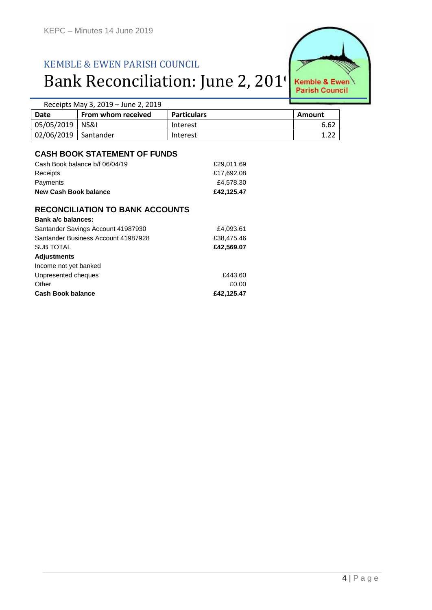# KEMBLE & EWEN PARISH COUNCIL Bank Reconciliation: June 2, 201



| Receipts May 3, 2019 – June 2, 2019 |                    |                    |        |
|-------------------------------------|--------------------|--------------------|--------|
| Date                                | From whom received | <b>Particulars</b> | Amount |
| 05/05/2019   NS&I                   |                    | Interest           | 6.62   |
| 02/06/2019   Santander              |                    | Interest           |        |

#### **CASH BOOK STATEMENT OF FUNDS**

| New Cash Book balance          | £42.125.47 |
|--------------------------------|------------|
| Payments                       | £4,578,30  |
| Receipts                       | £17.692.08 |
| Cash Book balance b/f 06/04/19 | £29.011.69 |
|                                |            |

#### **RECONCILIATION TO BANK ACCOUNTS**

| Bank a/c balances:                  |            |
|-------------------------------------|------------|
| Santander Savings Account 41987930  | £4,093.61  |
| Santander Business Account 41987928 | £38,475.46 |
| SUB TOTAL                           | £42,569.07 |
| <b>Adjustments</b>                  |            |
| Income not yet banked               |            |
| Unpresented cheques                 | £443.60    |
| Other                               | £0.00      |
| <b>Cash Book balance</b>            | £42,125.47 |
|                                     |            |